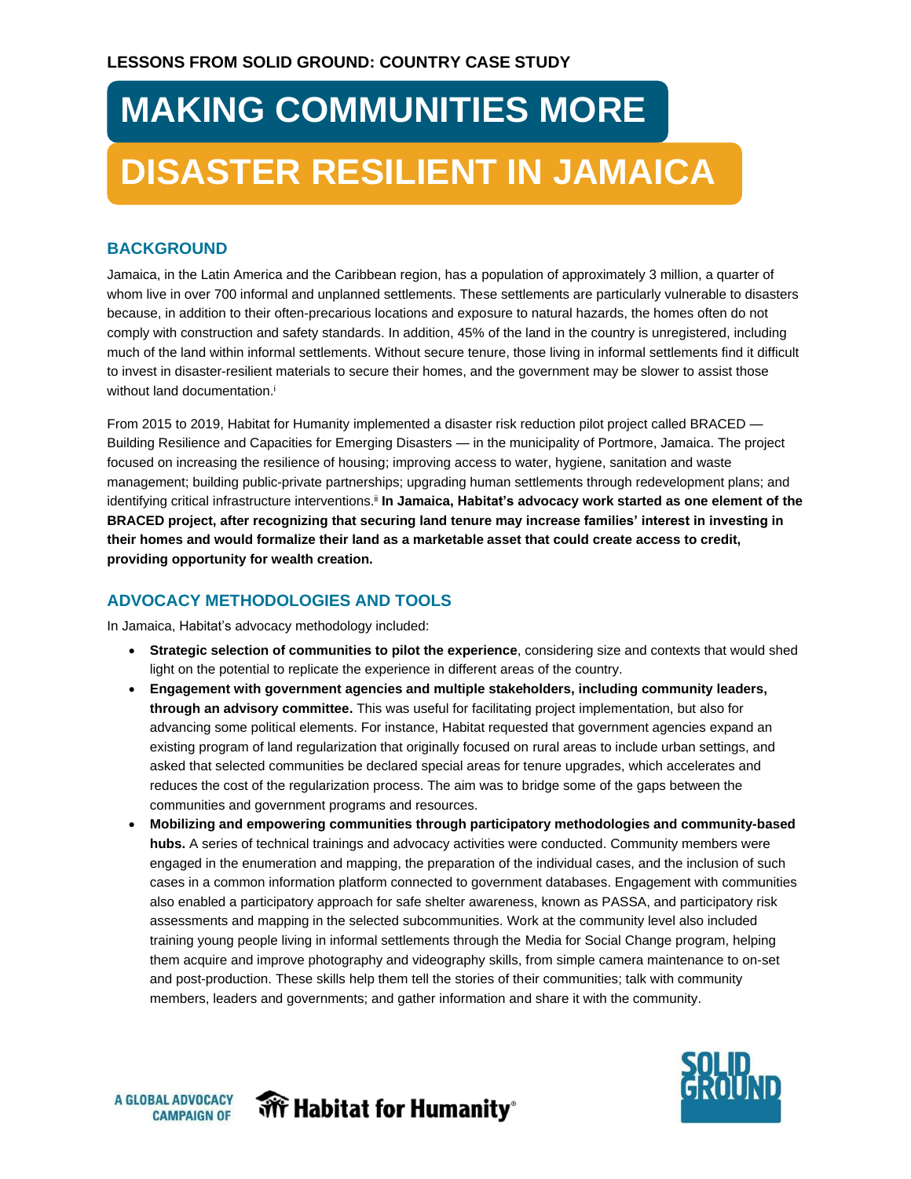## **MAKING COMMUNITIES MORE DISASTER RESILIENT IN JAMAICA**

## **BACKGROUND**

Jamaica, in the Latin America and the Caribbean region, has a population of approximately 3 million, a quarter of whom live in over 700 informal and unplanned settlements. These settlements are particularly vulnerable to disasters because, in addition to their often-precarious locations and exposure to natural hazards, the homes often do not comply with construction and safety standards. In addition, 45% of the land in the country is unregistered, including much of the land within informal settlements. Without secure tenure, those living in informal settlements find it difficult to invest in disaster-resilient materials to secure their homes, and the government may be slower to assist those without land documentation.<sup>i</sup>

From 2015 to 2019, Habitat for Humanity implemented a disaster risk reduction pilot project called BRACED — Building Resilience and Capacities for Emerging Disasters — in the municipality of Portmore, Jamaica. The project focused on increasing the resilience of housing; improving access to water, hygiene, sanitation and waste management; building public-private partnerships; upgrading human settlements through redevelopment plans; and identifying critical infrastructure interventions.ii **In Jamaica, Habitat's advocacy work started as one element of the BRACED project, after recognizing that securing land tenure may increase families' interest in investing in their homes and would formalize their land as a marketable asset that could create access to credit, providing opportunity for wealth creation.**

## **ADVOCACY METHODOLOGIES AND TOOLS**

In Jamaica, Habitat's advocacy methodology included:

- **Strategic selection of communities to pilot the experience**, considering size and contexts that would shed light on the potential to replicate the experience in different areas of the country.
- **Engagement with government agencies and multiple stakeholders, including community leaders, through an advisory committee.** This was useful for facilitating project implementation, but also for advancing some political elements. For instance, Habitat requested that government agencies expand an existing program of land regularization that originally focused on rural areas to include urban settings, and asked that selected communities be declared special areas for tenure upgrades, which accelerates and reduces the cost of the regularization process. The aim was to bridge some of the gaps between the communities and government programs and resources.
- **Mobilizing and empowering communities through participatory methodologies and community-based hubs.** A series of technical trainings and advocacy activities were conducted. Community members were engaged in the enumeration and mapping, the preparation of the individual cases, and the inclusion of such cases in a common information platform connected to government databases. Engagement with communities also enabled a participatory approach for safe shelter awareness, known as PASSA, and participatory risk assessments and mapping in the selected subcommunities. Work at the community level also included training young people living in informal settlements through the Media for Social Change program, helping them acquire and improve photography and videography skills, from simple camera maintenance to on-set and post-production. These skills help them tell the stories of their communities; talk with community members, leaders and governments; and gather information and share it with the community.



**We Habitat for Humanity**®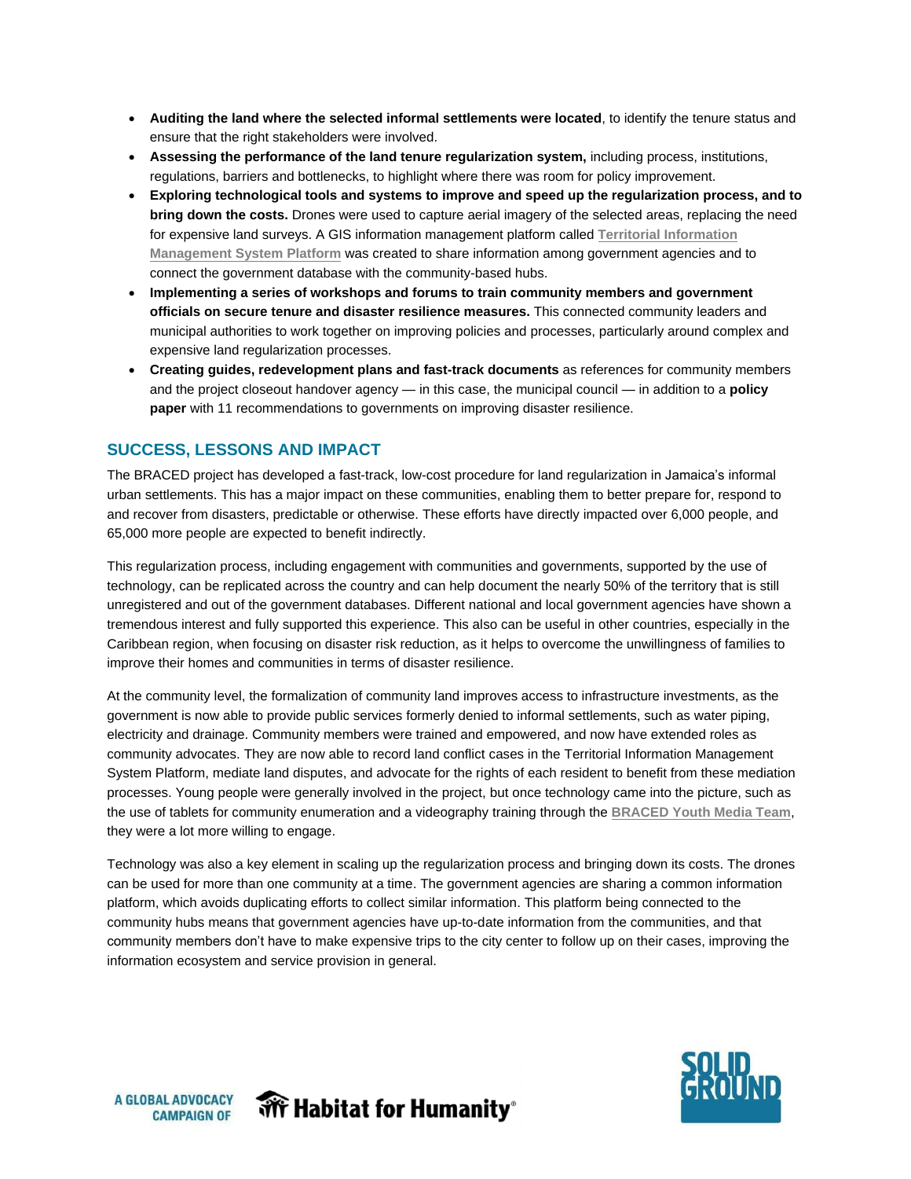- **Auditing the land where the selected informal settlements were located**, to identify the tenure status and ensure that the right stakeholders were involved.
- **Assessing the performance of the land tenure regularization system,** including process, institutions, regulations, barriers and bottlenecks, to highlight where there was room for policy improvement.
- **Exploring technological tools and systems to improve and speed up the regularization process, and to bring down the costs.** Drones were used to capture aerial imagery of the selected areas, replacing the need for expensive land surveys. A GIS information management platform called **[Territorial Information](http://mapa.suelourbano.org/frmlogin.aspx) [Management System Platform](http://mapa.suelourbano.org/frmlogin.aspx)** was created to share information among government agencies and to connect the government database with the community-based hubs.
- **Implementing a series of workshops and forums to train community members and government officials on secure tenure and disaster resilience measures.** This connected community leaders and municipal authorities to work together on improving policies and processes, particularly around complex and expensive land regularization processes.
- **Creating guides, redevelopment plans and fast-track documents** as references for community members and the project closeout handover agency — in this case, the municipal council — in addition to a **policy paper** with 11 recommendations to governments on improving disaster resilience.

## **SUCCESS, LESSONS AND IMPACT**

The BRACED project has developed a fast-track, low-cost procedure for land regularization in Jamaica's informal urban settlements. This has a major impact on these communities, enabling them to better prepare for, respond to and recover from disasters, predictable or otherwise. These efforts have directly impacted over 6,000 people, and 65,000 more people are expected to benefit indirectly.

This regularization process, including engagement with communities and governments, supported by the use of technology, can be replicated across the country and can help document the nearly 50% of the territory that is still unregistered and out of the government databases. Different national and local government agencies have shown a tremendous interest and fully supported this experience. This also can be useful in other countries, especially in the Caribbean region, when focusing on disaster risk reduction, as it helps to overcome the unwillingness of families to improve their homes and communities in terms of disaster resilience.

At the community level, the formalization of community land improves access to infrastructure investments, as the government is now able to provide public services formerly denied to informal settlements, such as water piping, electricity and drainage. Community members were trained and empowered, and now have extended roles as community advocates. They are now able to record land conflict cases in the Territorial Information Management System Platform, mediate land disputes, and advocate for the rights of each resident to benefit from these mediation processes. Young people were generally involved in the project, but once technology came into the picture, such as the use of tablets for community enumeration and a videography training through the **[BRACED Youth Media Team](https://www.youtube.com/channel/UCoq2jp9xQ65cs7KYcNPAagA)**, they were a lot more willing to engage.

Technology was also a key element in scaling up the regularization process and bringing down its costs. The drones can be used for more than one community at a time. The government agencies are sharing a common information platform, which avoids duplicating efforts to collect similar information. This platform being connected to the community hubs means that government agencies have up-to-date information from the communities, and that community members don't have to make expensive trips to the city center to follow up on their cases, improving the information ecosystem and service provision in general.



**A GLOBAL ADVOCACY CAMPAIGN OF**